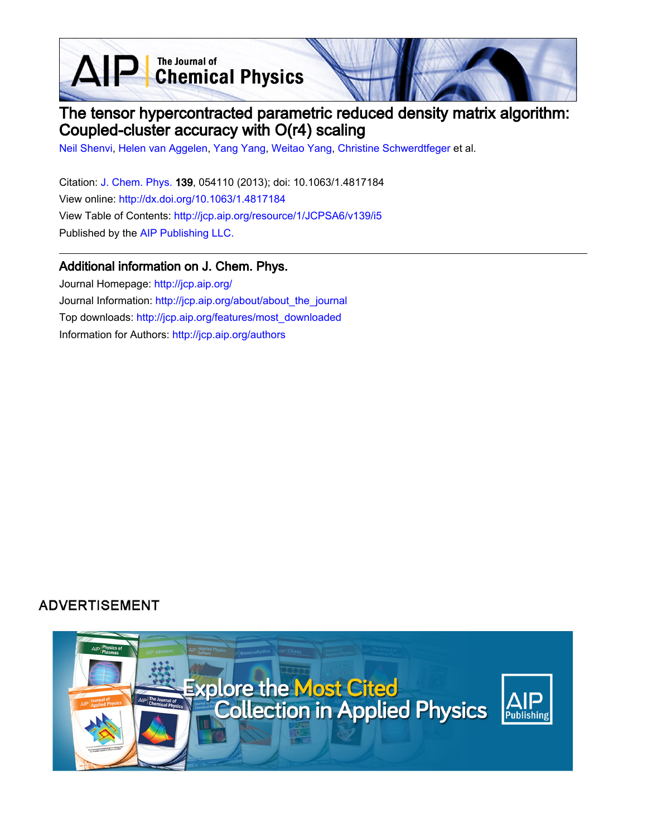AIP Chemical Physics

# The tensor hypercontracted parametric reduced density matrix algorithm: Coupled-cluster accuracy with O(r4) scaling

[Neil Shenvi,](http://jcp.aip.org/search?sortby=newestdate&q=&searchzone=2&searchtype=searchin&faceted=faceted&key=AIP_ALL&possible1=Neil Shenvi&possible1zone=author&alias=&displayid=AIP&ver=pdfcov) [Helen van Aggelen,](http://jcp.aip.org/search?sortby=newestdate&q=&searchzone=2&searchtype=searchin&faceted=faceted&key=AIP_ALL&possible1=Helen van Aggelen&possible1zone=author&alias=&displayid=AIP&ver=pdfcov) [Yang Yang,](http://jcp.aip.org/search?sortby=newestdate&q=&searchzone=2&searchtype=searchin&faceted=faceted&key=AIP_ALL&possible1=Yang Yang&possible1zone=author&alias=&displayid=AIP&ver=pdfcov) [Weitao Yang](http://jcp.aip.org/search?sortby=newestdate&q=&searchzone=2&searchtype=searchin&faceted=faceted&key=AIP_ALL&possible1=Weitao Yang&possible1zone=author&alias=&displayid=AIP&ver=pdfcov), [Christine Schwerdtfeger](http://jcp.aip.org/search?sortby=newestdate&q=&searchzone=2&searchtype=searchin&faceted=faceted&key=AIP_ALL&possible1=Christine Schwerdtfeger&possible1zone=author&alias=&displayid=AIP&ver=pdfcov) et al.

Citation: [J. Chem. Phys. 1](http://jcp.aip.org/?ver=pdfcov)39, 054110 (2013); doi: 10.1063/1.4817184 View online: [http://dx.doi.org/10.1063/1.4817184](http://link.aip.org/link/doi/10.1063/1.4817184?ver=pdfcov) View Table of Contents: [http://jcp.aip.org/resource/1/JCPSA6/v139/i5](http://jcp.aip.org/resource/1/JCPSA6/v139/i5?ver=pdfcov) Published by the [AIP Publishing LLC.](http://www.aip.org/?ver=pdfcov)

## Additional information on J. Chem. Phys.

Journal Homepage: [http://jcp.aip.org/](http://jcp.aip.org/?ver=pdfcov) Journal Information: [http://jcp.aip.org/about/about\\_the\\_journal](http://jcp.aip.org/about/about_the_journal?ver=pdfcov) Top downloads: [http://jcp.aip.org/features/most\\_downloaded](http://jcp.aip.org/features/most_downloaded?ver=pdfcov) Information for Authors: [http://jcp.aip.org/authors](http://jcp.aip.org/authors?ver=pdfcov)

# **ADVERTISEMENT**

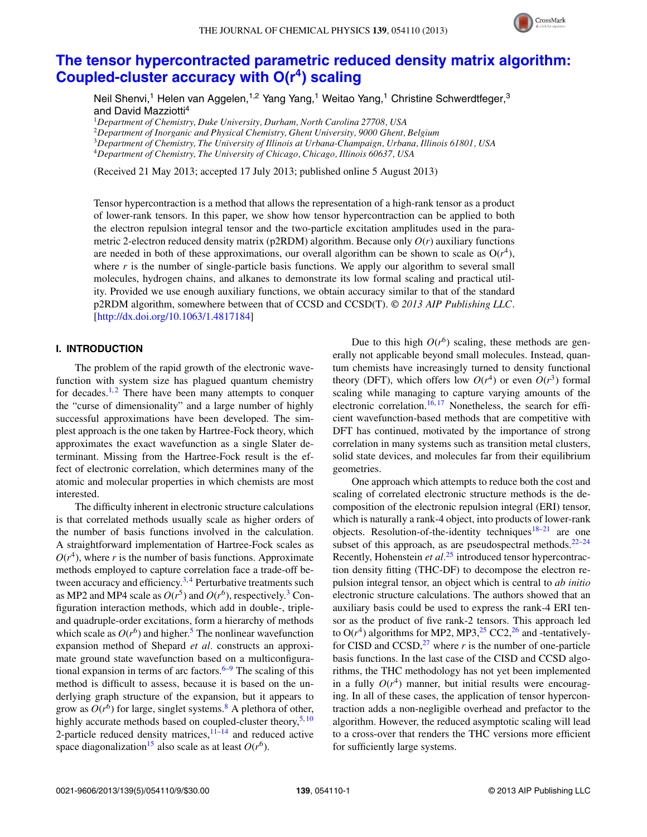

# **[The tensor hypercontracted parametric reduced density matrix algorithm:](http://dx.doi.org/10.1063/1.4817184) [Coupled-cluster accuracy with O\(r](http://dx.doi.org/10.1063/1.4817184)4) scaling**

Neil Shenvi,<sup>1</sup> Helen van Aggelen,<sup>1,2</sup> Yang Yang,<sup>1</sup> Weitao Yang,<sup>1</sup> Christine Schwerdtfeger,<sup>3</sup> and David Mazziotti<sup>4</sup>

<sup>1</sup>*Department of Chemistry, Duke University, Durham, North Carolina 27708, USA*

<sup>2</sup>*Department of Inorganic and Physical Chemistry, Ghent University, 9000 Ghent, Belgium*

<sup>3</sup>*Department of Chemistry, The University of Illinois at Urbana-Champaign, Urbana, Illinois 61801, USA*

<sup>4</sup>*Department of Chemistry, The University of Chicago, Chicago, Illinois 60637, USA*

(Received 21 May 2013; accepted 17 July 2013; published online 5 August 2013)

Tensor hypercontraction is a method that allows the representation of a high-rank tensor as a product of lower-rank tensors. In this paper, we show how tensor hypercontraction can be applied to both the electron repulsion integral tensor and the two-particle excitation amplitudes used in the parametric 2-electron reduced density matrix (p2RDM) algorithm. Because only *O*(*r*) auxiliary functions are needed in both of these approximations, our overall algorithm can be shown to scale as  $O(r^4)$ , where  $r$  is the number of single-particle basis functions. We apply our algorithm to several small molecules, hydrogen chains, and alkanes to demonstrate its low formal scaling and practical utility. Provided we use enough auxiliary functions, we obtain accuracy similar to that of the standard p2RDM algorithm, somewhere between that of CCSD and CCSD(T). *© 2013 AIP Publishing LLC*. [\[http://dx.doi.org/10.1063/1.4817184\]](http://dx.doi.org/10.1063/1.4817184)

### **I. INTRODUCTION**

The problem of the rapid growth of the electronic wavefunction with system size has plagued quantum chemistry for decades.<sup>1,[2](#page-8-1)</sup> There have been many attempts to conquer the "curse of dimensionality" and a large number of highly successful approximations have been developed. The simplest approach is the one taken by Hartree-Fock theory, which approximates the exact wavefunction as a single Slater determinant. Missing from the Hartree-Fock result is the effect of electronic correlation, which determines many of the atomic and molecular properties in which chemists are most interested.

The difficulty inherent in electronic structure calculations is that correlated methods usually scale as higher orders of the number of basis functions involved in the calculation. A straightforward implementation of Hartree-Fock scales as  $O(r<sup>4</sup>)$ , where *r* is the number of basis functions. Approximate methods employed to capture correlation face a trade-off be-tween accuracy and efficiency.<sup>[3,](#page-8-2)[4](#page-8-3)</sup> Perturbative treatments such as MP2 and MP4 scale as  $O(r^5)$  and  $O(r^6)$ , respectively.<sup>3</sup> Configuration interaction methods, which add in double-, tripleand quadruple-order excitations, form a hierarchy of methods which scale as  $O(r^6)$  and higher.<sup>5</sup> The nonlinear wavefunction expansion method of Shepard *et al.* constructs an approximate ground state wavefunction based on a multiconfigurational expansion in terms of arc factors.  $6-9$  $6-9$  The scaling of this method is difficult to assess, because it is based on the underlying graph structure of the expansion, but it appears to grow as  $O(r^6)$  for large, singlet systems.<sup>8</sup> A plethora of other, highly accurate methods based on coupled-cluster theory,  $5,10$  $5,10$ 2-particle reduced density matrices, $11-14$  $11-14$  and reduced active space diagonalization<sup>15</sup> also scale as at least  $O(r^6)$ .

Due to this high  $O(r^6)$  scaling, these methods are generally not applicable beyond small molecules. Instead, quantum chemists have increasingly turned to density functional theory (DFT), which offers low  $O(r^4)$  or even  $O(r^3)$  formal scaling while managing to capture varying amounts of the electronic correlation.<sup>16, [17](#page-9-6)</sup> Nonetheless, the search for efficient wavefunction-based methods that are competitive with DFT has continued, motivated by the importance of strong correlation in many systems such as transition metal clusters, solid state devices, and molecules far from their equilibrium geometries.

One approach which attempts to reduce both the cost and scaling of correlated electronic structure methods is the decomposition of the electronic repulsion integral (ERI) tensor, which is naturally a rank-4 object, into products of lower-rank objects. Resolution-of-the-identity techniques<sup>18[–21](#page-9-8)</sup> are one subset of this approach, as are pseudospectral methods.  $22-24$  $22-24$ Recently, Hohenstein *et al.*[25](#page-9-11) introduced tensor hypercontraction density fitting (THC-DF) to decompose the electron repulsion integral tensor, an object which is central to *ab initio* electronic structure calculations. The authors showed that an auxiliary basis could be used to express the rank-4 ERI tensor as the product of five rank-2 tensors. This approach led to  $O(r^4)$  algorithms for MP2, MP3,<sup>25</sup> CC2,<sup>[26](#page-9-12)</sup> and -tentativelyfor CISD and CCSD, $^{27}$  where *r* is the number of one-particle basis functions. In the last case of the CISD and CCSD algorithms, the THC methodology has not yet been implemented in a fully  $O(r^4)$  manner, but initial results were encouraging. In all of these cases, the application of tensor hypercontraction adds a non-negligible overhead and prefactor to the algorithm. However, the reduced asymptotic scaling will lead to a cross-over that renders the THC versions more efficient for sufficiently large systems.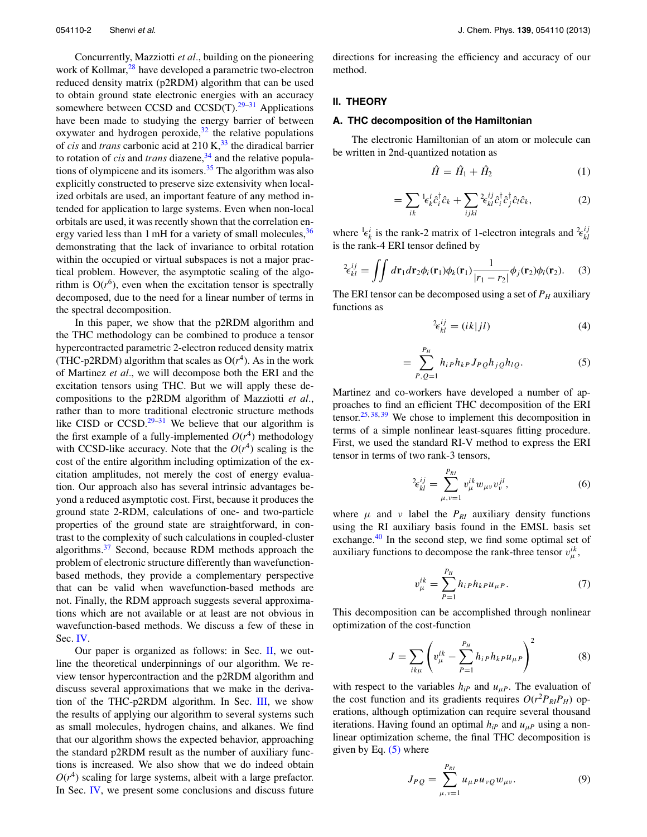Concurrently, Mazziotti *et al.*, building on the pioneering work of Kollmar,<sup>[28](#page-9-14)</sup> have developed a parametric two-electron reduced density matrix (p2RDM) algorithm that can be used to obtain ground state electronic energies with an accuracy somewhere between CCSD and CCSD(T). $29-31$  $29-31$  Applications have been made to studying the energy barrier of between oxywater and hydrogen peroxide, $32$  the relative populations of *cis* and *trans* carbonic acid at 210 K,<sup>33</sup> the diradical barrier to rotation of *cis* and *trans* diazene,<sup>34</sup> and the relative populations of olympicene and its isomers.<sup>35</sup> The algorithm was also explicitly constructed to preserve size extensivity when localized orbitals are used, an important feature of any method intended for application to large systems. Even when non-local orbitals are used, it was recently shown that the correlation energy varied less than 1 mH for a variety of small molecules,  $36$ demonstrating that the lack of invariance to orbital rotation within the occupied or virtual subspaces is not a major practical problem. However, the asymptotic scaling of the algorithm is  $O(r^6)$ , even when the excitation tensor is spectrally decomposed, due to the need for a linear number of terms in the spectral decomposition.

In this paper, we show that the p2RDM algorithm and the THC methodology can be combined to produce a tensor hypercontracted parametric 2-electron reduced density matrix (THC-p2RDM) algorithm that scales as  $O(r<sup>4</sup>)$ . As in the work of Martinez *et al.*, we will decompose both the ERI and the excitation tensors using THC. But we will apply these decompositions to the p2RDM algorithm of Mazziotti *et al.*, rather than to more traditional electronic structure methods like CISD or  $CCSD.^{29-31}$  $CCSD.^{29-31}$  $CCSD.^{29-31}$  We believe that our algorithm is the first example of a fully-implemented  $O(r^4)$  methodology with CCSD-like accuracy. Note that the  $O(r^4)$  scaling is the cost of the entire algorithm including optimization of the excitation amplitudes, not merely the cost of energy evaluation. Our approach also has several intrinsic advantages beyond a reduced asymptotic cost. First, because it produces the ground state 2-RDM, calculations of one- and two-particle properties of the ground state are straightforward, in contrast to the complexity of such calculations in coupled-cluster algorithms.<sup>[37](#page-9-22)</sup> Second, because RDM methods approach the problem of electronic structure differently than wavefunctionbased methods, they provide a complementary perspective that can be valid when wavefunction-based methods are not. Finally, the RDM approach suggests several approximations which are not available or at least are not obvious in wavefunction-based methods. We discuss a few of these in Sec. [IV.](#page-8-7)

Our paper is organized as follows: in Sec.  $II$ , we outline the theoretical underpinnings of our algorithm. We review tensor hypercontraction and the p2RDM algorithm and discuss several approximations that we make in the derivation of the THC-p2RDM algorithm. In Sec. [III,](#page-7-0) we show the results of applying our algorithm to several systems such as small molecules, hydrogen chains, and alkanes. We find that our algorithm shows the expected behavior, approaching the standard p2RDM result as the number of auxiliary functions is increased. We also show that we do indeed obtain  $O(r<sup>4</sup>)$  scaling for large systems, albeit with a large prefactor. In Sec. [IV,](#page-8-7) we present some conclusions and discuss future directions for increasing the efficiency and accuracy of our method.

#### <span id="page-2-3"></span><span id="page-2-0"></span>**II. THEORY**

### **A. THC decomposition of the Hamiltonian**

The electronic Hamiltonian of an atom or molecule can be written in 2nd-quantized notation as

$$
\hat{H} = \hat{H}_1 + \hat{H}_2 \tag{1}
$$

$$
= \sum_{ik} {}^{1} \epsilon_{k}^{i} \hat{c}_{i}^{\dagger} \hat{c}_{k} + \sum_{ijkl} {}^{2} \epsilon_{kl}^{ij} \hat{c}_{i}^{\dagger} \hat{c}_{j}^{\dagger} \hat{c}_{l} \hat{c}_{k}, \qquad (2)
$$

<span id="page-2-2"></span>where  ${}^{1} \epsilon_{k}^{i}$  is the rank-2 matrix of 1-electron integrals and  ${}^{2} \epsilon_{kl}^{ij}$ is the rank-4 ERI tensor defined by

$$
{}^{2}\epsilon_{kl}^{ij} = \iint d\mathbf{r}_1 d\mathbf{r}_2 \phi_i(\mathbf{r}_1) \phi_k(\mathbf{r}_1) \frac{1}{|r_1 - r_2|} \phi_j(\mathbf{r}_2) \phi_l(\mathbf{r}_2). \tag{3}
$$

The ERI tensor can be decomposed using a set of  $P_H$  auxiliary functions as

$$
{}^{2}\epsilon_{kl}^{ij} = (ik|jl) \tag{4}
$$

$$
= \sum_{P,Q=1}^{P_H} h_{iP} h_{kP} J_{PQ} h_{jQ} h_{lQ}.
$$
 (5)

<span id="page-2-1"></span>Martinez and co-workers have developed a number of approaches to find an efficient THC decomposition of the ERI tensor.<sup>[25,](#page-9-11) [38,](#page-9-23) [39](#page-9-24)</sup> We chose to implement this decomposition in terms of a simple nonlinear least-squares fitting procedure. First, we used the standard RI-V method to express the ERI tensor in terms of two rank-3 tensors,

<span id="page-2-4"></span>
$$
{}^{2}\epsilon_{kl}^{ij} = \sum_{\mu,\nu=1}^{P_{RI}} v_{\mu}^{ik} w_{\mu\nu} v_{\nu}^{jl}, \tag{6}
$$

where  $\mu$  and  $\nu$  label the  $P_{RI}$  auxiliary density functions using the RI auxiliary basis found in the EMSL basis set exchange.<sup>40</sup> In the second step, we find some optimal set of auxiliary functions to decompose the rank-three tensor  $v_{\mu}^{ik}$ ,

$$
v_{\mu}^{ik} = \sum_{P=1}^{P_H} h_{iP} h_{kP} u_{\mu P}.
$$
 (7)

This decomposition can be accomplished through nonlinear optimization of the cost-function

<span id="page-2-5"></span>
$$
J = \sum_{ik\mu} \left( v_{\mu}^{ik} - \sum_{P=1}^{P_H} h_{iP} h_{kP} u_{\mu P} \right)^2
$$
 (8)

with respect to the variables  $h_{iP}$  and  $u_{\mu P}$ . The evaluation of the cost function and its gradients requires  $O(r^2 P_{RI} P_H)$  operations, although optimization can require several thousand iterations. Having found an optimal  $h_{iP}$  and  $u_{\mu P}$  using a nonlinear optimization scheme, the final THC decomposition is given by Eq.  $(5)$  where

$$
J_{PQ} = \sum_{\mu,\nu=1}^{P_{RI}} u_{\mu P} u_{\nu Q} w_{\mu\nu}.
$$
 (9)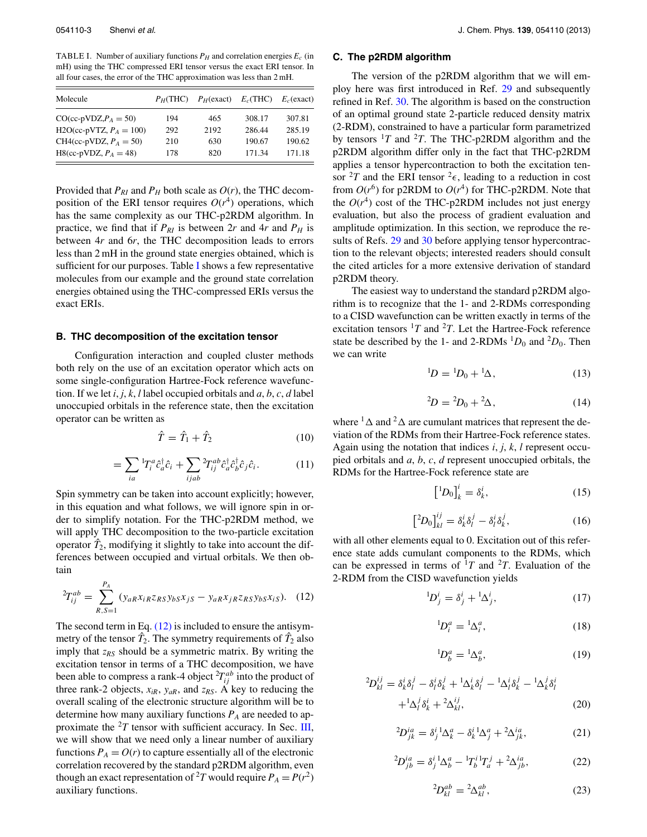<span id="page-3-0"></span>TABLE I. Number of auxiliary functions  $P_H$  and correlation energies  $E_c$  (in mH) using the THC compressed ERI tensor versus the exact ERI tensor. In all four cases, the error of the THC approximation was less than 2 mH.

| Molecule                   | P <sub>H</sub> (THC) | $P_H$ (exact) | $E_c$ (THC) | $E_c$ (exact) |
|----------------------------|----------------------|---------------|-------------|---------------|
| $CO(cc-pVDZ, P_A = 50)$    | 194                  | 465           | 308.17      | 307.81        |
| H2O(cc-pVTZ, $P_A = 100$ ) | 292                  | 2192          | 286.44      | 285.19        |
| CH4(cc-pVDZ, $P_A = 50$ )  | 210                  | 630           | 190.67      | 190.62        |
| H8(cc-pVDZ, $P_A = 48$ )   | 178                  | 820           | 171.34      | 171.18        |

Provided that  $P_{RI}$  and  $P_H$  both scale as  $O(r)$ , the THC decomposition of the ERI tensor requires  $O(r^4)$  operations, which has the same complexity as our THC-p2RDM algorithm. In practice, we find that if  $P_{RI}$  is between 2*r* and 4*r* and  $P_H$  is between 4*r* and 6*r*, the THC decomposition leads to errors less than 2 mH in the ground state energies obtained, which is sufficient for our purposes. Table  $I$  shows a few representative molecules from our example and the ground state correlation energies obtained using the THC-compressed ERIs versus the exact ERIs.

#### **B. THC decomposition of the excitation tensor**

Configuration interaction and coupled cluster methods both rely on the use of an excitation operator which acts on some single-configuration Hartree-Fock reference wavefunction. If we let *i*, *j*, *k*, *l* label occupied orbitals and *a*, *b*, *c*, *d* label unoccupied orbitals in the reference state, then the excitation operator can be written as

$$
\hat{T} = \hat{T}_1 + \hat{T}_2 \tag{10}
$$

$$
= \sum_{ia} {}^{1}T_i^a \hat{c}_a^{\dagger} \hat{c}_i + \sum_{ijab} {}^{2}T_{ij}^{ab} \hat{c}_a^{\dagger} \hat{c}_b^{\dagger} \hat{c}_j \hat{c}_i. \tag{11}
$$

Spin symmetry can be taken into account explicitly; however, in this equation and what follows, we will ignore spin in order to simplify notation. For the THC-p2RDM method, we will apply THC decomposition to the two-particle excitation operator  $\hat{T}_2$ , modifying it slightly to take into account the differences between occupied and virtual orbitals. We then obtain

<span id="page-3-1"></span>
$$
{}^{2}T_{ij}^{ab} = \sum_{R,S=1}^{P_A} (y_{aR}x_{iR}z_{RS}y_{bS}x_{jS} - y_{aR}x_{jR}z_{RS}y_{bS}x_{iS}).
$$
 (12)

The second term in Eq.  $(12)$  is included to ensure the antisymmetry of the tensor  $\hat{T}_2$ . The symmetry requirements of  $\hat{T}_2$  also imply that *z<sub>RS</sub>* should be a symmetric matrix. By writing the excitation tensor in terms of a THC decomposition, we have been able to compress a rank-4 object  ${}^{2}T_{ij}^{ab}$  into the product of three rank-2 objects,  $x_{iR}$ ,  $y_{iR}$ , and  $z_{RS}$ . A key to reducing the overall scaling of the electronic structure algorithm will be to determine how many auxiliary functions  $P_A$  are needed to approximate the  ${}^{2}T$  tensor with sufficient accuracy. In Sec. [III,](#page-7-0) we will show that we need only a linear number of auxiliary functions  $P_A = O(r)$  to capture essentially all of the electronic correlation recovered by the standard p2RDM algorithm, even though an exact representation of <sup>2</sup>T would require  $P_A = P(r^2)$ auxiliary functions.

#### **C. The p2RDM algorithm**

The version of the p2RDM algorithm that we will employ here was first introduced in Ref. [29](#page-9-15) and subsequently refined in Ref. [30.](#page-9-26) The algorithm is based on the construction of an optimal ground state 2-particle reduced density matrix (2-RDM), constrained to have a particular form parametrized by tensors  ${}^{1}T$  and  ${}^{2}T$ . The THC-p2RDM algorithm and the p2RDM algorithm differ only in the fact that THC-p2RDM applies a tensor hypercontraction to both the excitation tensor  ${}^{2}T$  and the ERI tensor  ${}^{2}\epsilon$ , leading to a reduction in cost from  $O(r^6)$  for p2RDM to  $O(r^4)$  for THC-p2RDM. Note that the  $O(r^4)$  cost of the THC-p2RDM includes not just energy evaluation, but also the process of gradient evaluation and amplitude optimization. In this section, we reproduce the re-sults of Refs. [29](#page-9-15) and [30](#page-9-26) before applying tensor hypercontraction to the relevant objects; interested readers should consult the cited articles for a more extensive derivation of standard p2RDM theory.

The easiest way to understand the standard p2RDM algorithm is to recognize that the 1- and 2-RDMs corresponding to a CISD wavefunction can be written exactly in terms of the excitation tensors  ${}^{1}T$  and  ${}^{2}T$ . Let the Hartree-Fock reference state be described by the 1- and 2-RDMs  ${}^{1}D_0$  and  ${}^{2}D_0$ . Then we can write

$$
{}^{1}D = {}^{1}D_{0} + {}^{1}\Delta, \qquad (13)
$$

$$
{}^{2}D = {}^{2}D_{0} + {}^{2}\Delta, \qquad (14)
$$

where  $1\Delta$  and  $2\Delta$  are cumulant matrices that represent the deviation of the RDMs from their Hartree-Fock reference states. Again using the notation that indices *i*, *j*, *k*, *l* represent occupied orbitals and *a*, *b*, *c*, *d* represent unoccupied orbitals, the RDMs for the Hartree-Fock reference state are

$$
\left[\begin{matrix} {}^{1}D_0 \end{matrix}\right]_k^i = \delta_k^i,\tag{15}
$$

$$
\left[{}^{2}D_{0}\right]^{ij}_{kl} = \delta^{i}_{k}\delta^{j}_{l} - \delta^{i}_{l}\delta^{j}_{k},\tag{16}
$$

with all other elements equal to 0. Excitation out of this reference state adds cumulant components to the RDMs, which can be expressed in terms of  $T$  and  $T$ . Evaluation of the 2-RDM from the CISD wavefunction yields

$$
{}^{1}D^{i}_{j} = \delta^{i}_{j} + {}^{1}\Delta^{i}_{j}, \qquad (17)
$$

<span id="page-3-2"></span>
$$
{}^{1}D_{i}^{a} = {}^{1}\Delta_{i}^{a},\tag{18}
$$

$$
{}^{1}D_b^a = {}^{1}\Delta_b^a,\tag{19}
$$

$$
{}^{2}D_{kl}^{ij} = \delta_k^i \delta_l^j - \delta_l^i \delta_k^j + {}^{1}\Delta_k^i \delta_l^j - {}^{1}\Delta_l^i \delta_k^j - {}^{1}\Delta_k^j \delta_l^i
$$

$$
+ {}^{1}\Delta_l^j \delta_k^i + {}^{2}\Delta_{kl}^{ij},
$$
 (20)

$$
{}^{2}D^{ia}_{jk} = \delta^i_j {}^{1} \Delta^a_k - \delta^i_k {}^{1} \Delta^a_j + {}^{2} \Delta^{ia}_{jk}, \qquad (21)
$$

$$
{}^{2}D^{ia}_{jb} = \delta^i_j {}^{1} \Delta^a_b - {}^{1}T^i_b {}^{1}T^j_a + {}^{2} \Delta^{ia}_{jb}, \qquad (22)
$$

$$
{}^{2}D_{kl}^{ab} = {}^{2}\Delta_{kl}^{ab},\tag{23}
$$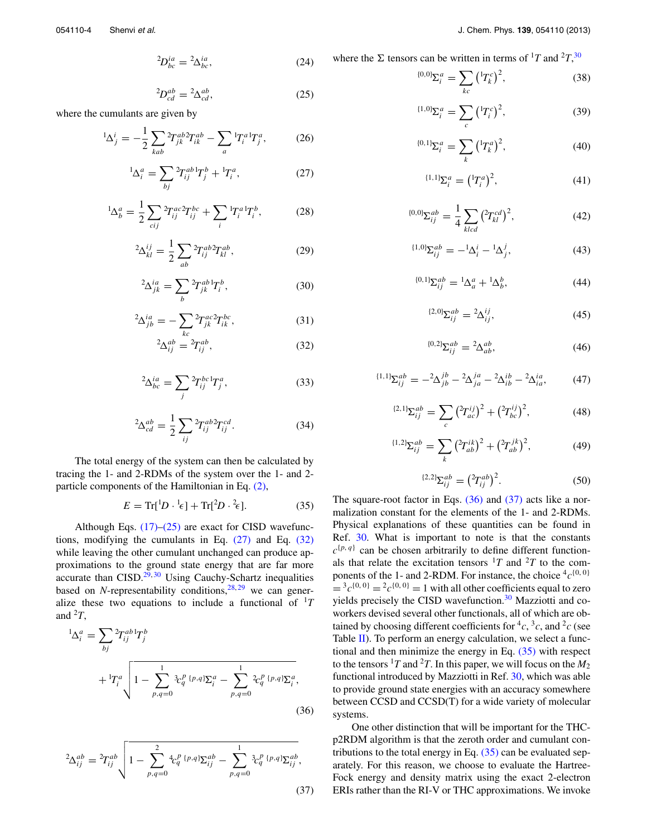$$
{}^{2}D_{bc}^{ia} = {}^{2}\Delta_{bc}^{ia},\tag{24}
$$

<span id="page-4-6"></span>
$$
{}^{2}D_{cd}^{ab} = {}^{2}\Delta_{cd}^{ab},\tag{25}
$$

<span id="page-4-1"></span><span id="page-4-0"></span>where the cumulants are given by

$$
{}^{1}\Delta_{j}^{i} = -\frac{1}{2} \sum_{kab} {}^{2}T_{jk}^{ab}T_{ik}^{ab} - \sum_{a} {}^{1}T_{i}^{a}T_{j}^{a}, \qquad (26)
$$

$$
{}^{1}\Delta_{i}^{a} = \sum_{bj} {}^{2}T_{ij}^{ab} {}^{1}T_{j}^{b} + {}^{1}T_{i}^{a}, \qquad (27)
$$

$$
{}^{1}\Delta_{b}^{a} = \frac{1}{2} \sum_{cij} {}^{2}T_{ij}^{ac} {}^{2}T_{ij}^{bc} + \sum_{i} {}^{1}T_{i}^{a} {}^{1}T_{i}^{b}, \qquad (28)
$$

$$
{}^{2}\Delta_{kl}^{ij} = \frac{1}{2} \sum_{ab} {}^{2}T_{ij}^{ab}T_{kl}^{ab}, \qquad (29)
$$

$$
{}^{2}\Delta^{ia}_{jk} = \sum_{b} {}^{2}T^{ab}_{jk} T^{b}_{i}, \qquad (30)
$$

<span id="page-4-2"></span>
$$
{}^{2}\Delta^{ia}_{jb} = -\sum_{kc} {}^{2}T^{ac}_{jk} T^{bc}_{ik}, \qquad (31)
$$

$$
{}^{2}\Delta_{ij}^{ab} = {}^{2}T_{ij}^{ab},\tag{32}
$$

<span id="page-4-8"></span>
$$
{}^{2}\Delta^{ia}_{bc} = \sum_{j} {}^{2}T^{bc}_{ij}T^{a}_{j}, \qquad (33)
$$

$$
{}^{2}\Delta^{ab}_{cd} = \frac{1}{2} \sum_{ij} {}^{2}T^{ab}_{ij} {}^{2}T^{cd}_{ij}.
$$
 (34)

<span id="page-4-7"></span>The total energy of the system can then be calculated by tracing the 1- and 2-RDMs of the system over the 1- and 2 particle components of the Hamiltonian in Eq.  $(2)$ ,

<span id="page-4-5"></span>
$$
E = \text{Tr}[\,{}^{1}D \cdot {}^{1}\epsilon] + \text{Tr}[\,{}^{2}D \cdot {}^{2}\epsilon]. \tag{35}
$$

Although Eqs.  $(17)$ – $(25)$  are exact for CISD wavefunctions, modifying the cumulants in Eq.  $(27)$  and Eq.  $(32)$ while leaving the other cumulant unchanged can produce approximations to the ground state energy that are far more accurate than  $CISD<sup>29,30</sup>$  $CISD<sup>29,30</sup>$  $CISD<sup>29,30</sup>$  Using Cauchy-Schartz inequalities based on *N*-representability conditions,  $28, 29$  $28, 29$  $28, 29$  we can generalize these two equations to include a functional of  $T$ and  ${}^{2}T$ ,

<span id="page-4-3"></span>
$$
{}^{1}\Delta_{i}^{a} = \sum_{bj} {}^{2}T_{ij}^{ab} {}^{1}T_{j}^{b}
$$
  
+ 
$$
{}^{1}T_{i}^{a} \sqrt{1 - \sum_{p,q=0}^{1} {}^{3}c_{q}^{p} {}^{p,q} \Sigma_{i}^{a} - \sum_{p,q=0}^{1} {}^{2}c_{q}^{p} {}^{p,q} \Sigma_{i}^{a}},
$$
(36)

<span id="page-4-4"></span>
$$
{}^{2}\Delta_{ij}^{ab} = {}^{2}T_{ij}^{ab} \sqrt{1 - \sum_{p,q=0}^{2} {}^{4}c_{q}^{p} \{p,q\}\Sigma_{ij}^{ab} - \sum_{p,q=0}^{1} {}^{3}c_{q}^{p} \{p,q\}\Sigma_{ij}^{ab}},
$$
\n(37)

where the  $\Sigma$  tensors can be written in terms of <sup>1</sup>*T* and <sup>2</sup>*T*,<sup>[30](#page-9-26)</sup>

$$
{}^{(0,0)}\Sigma_i^a = \sum_{kc} ({}^1T_k^c) ^2,\tag{38}
$$

$$
{}^{(1,0)}\Sigma_i^a = \sum_c \left( {}^{1}T_i^c \right)^2, \tag{39}
$$

$$
{}^{[0,1]}{\Sigma}_i^a = \sum_k \left({}^1T_k^a\right)^2,\tag{40}
$$

$$
{}^{{1,1\}}\Sigma_i^a = \left({}^{1}T_i^a\right)^2,\tag{41}
$$

$$
{}^{(0,0)}\Sigma_{ij}^{ab} = \frac{1}{4} \sum_{klcd} \left( {}^{2}T_{kl}^{cd} \right)^2, \tag{42}
$$

$$
{}^{(1,0)}\Sigma_{ij}^{ab} = -{}^{1}\Delta_i^i - {}^{1}\Delta_j^j,\tag{43}
$$

$$
{}^{[0,1]}\Sigma^{ab}_{ij} = {}^{1}\Delta^a_a + {}^{1}\Delta^b_b,\tag{44}
$$

$$
{}^{(2,0)}\Sigma_{ij}^{ab} = {}^{2}\Delta_{ij}^{ij}, \tag{45}
$$

$$
{}^{(0,2)}\Sigma_{ij}^{ab} = {}^{2}\Delta_{ab}^{ab}, \tag{46}
$$

$$
{}^{[1,1]}{\Sigma}_{ij}^{ab} = -{}^2\Delta_{jb}^{jb} - {}^2\Delta_{ja}^{ja} - {}^2\Delta_{ib}^{ib} - {}^2\Delta_{ia}^{ia}, \tag{47}
$$

$$
{}^{(2,1)}\Sigma_{ij}^{ab} = \sum_{c} \left({}^{2}T_{ac}^{ij}\right)^2 + \left({}^{2}T_{bc}^{ij}\right)^2, \tag{48}
$$

$$
{}^{(1,2)}\Sigma_{ij}^{ab} = \sum_{k} \left({}^{2}T_{ab}^{ik}\right)^2 + \left({}^{2}T_{ab}^{jk}\right)^2, \tag{49}
$$

$$
{}^{(2,2)}\Sigma_{ij}^{ab} = \left({}^2T_{ij}^{ab}\right)^2. \tag{50}
$$

The square-root factor in Eqs.  $(36)$  and  $(37)$  acts like a normalization constant for the elements of the 1- and 2-RDMs. Physical explanations of these quantities can be found in Ref. [30.](#page-9-26) What is important to note is that the constants  $c^{p,q}$  can be chosen arbitrarily to define different functionals that relate the excitation tensors  $T$  and  $T$  to the components of the 1- and 2-RDM. For instance, the choice  ${}^4c {}^{{0,0}}$  $= {}^3c^{(0,0)} = {}^2c^{(0,0)} = 1$  with all other coefficients equal to zero yields precisely the CISD wavefunction. $30$  Mazziotti and coworkers devised several other functionals, all of which are obtained by choosing different coefficients for  ${}^4c$ ,  ${}^3c$ , and  ${}^2c$  (see Table  $II$ ). To perform an energy calculation, we select a functional and then minimize the energy in Eq. [\(35\)](#page-4-5) with respect to the tensors  $T$  and  $T$ . In this paper, we will focus on the  $M_2$ functional introduced by Mazziotti in Ref. [30,](#page-9-26) which was able to provide ground state energies with an accuracy somewhere between CCSD and CCSD(T) for a wide variety of molecular systems.

One other distinction that will be important for the THCp2RDM algorithm is that the zeroth order and cumulant contributions to the total energy in Eq.  $(35)$  can be evaluated separately. For this reason, we choose to evaluate the Hartree-Fock energy and density matrix using the exact 2-electron ERIs rather than the RI-V or THC approximations. We invoke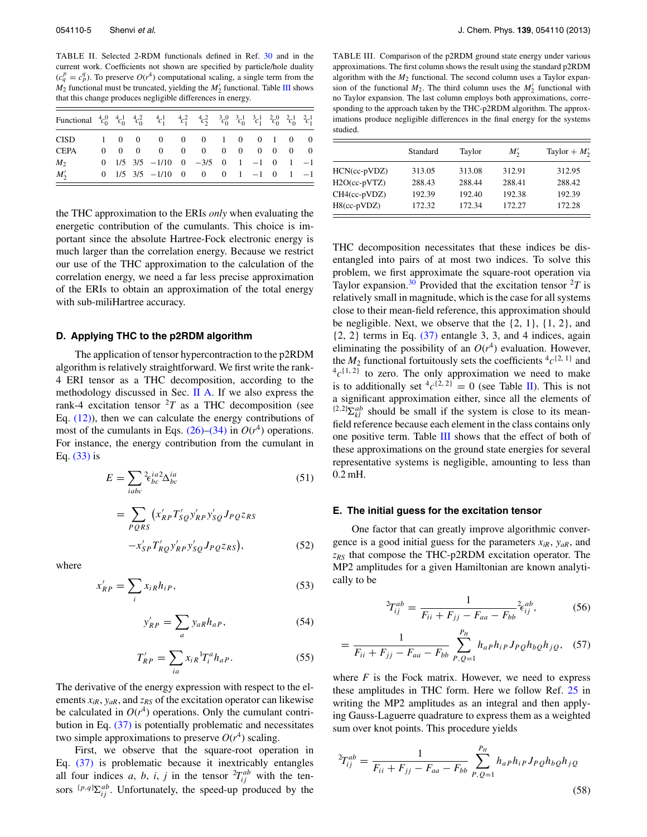<span id="page-5-0"></span>TABLE II. Selected 2-RDM functionals defined in Ref. [30](#page-9-26) and in the current work. Coefficients not shown are specified by particle/hole duality  $(c_q^p = c_p^q)$ . To preserve  $O(r^4)$  computational scaling, a single term from the  $M_2$  functional must be truncated, yielding the  $M_2'$  functional. Table [III](#page-5-1) shows that this change produces negligible differences in energy.

| Functional ${}^{4}C_{0}^{0}$ ${}^{4}C_{0}^{1}$ ${}^{4}C_{0}^{2}$ ${}^{4}C_{1}^{1}$ ${}^{4}C_{1}^{2}$ ${}^{4}C_{2}^{2}$ ${}^{3}C_{0}^{0}$ ${}^{3}C_{0}^{1}$ ${}^{3}C_{1}^{1}$ ${}^{2}C_{0}^{0}$ ${}^{2}C_{1}^{1}$ ${}^{2}C_{1}^{1}$ |  |                                                |  |  |  |  |
|------------------------------------------------------------------------------------------------------------------------------------------------------------------------------------------------------------------------------------|--|------------------------------------------------|--|--|--|--|
| <b>CISD</b>                                                                                                                                                                                                                        |  | 1 0 0 0 0 0 1 0 0 1 0 0                        |  |  |  |  |
| <b>CEPA</b>                                                                                                                                                                                                                        |  | 0 0 0 0 0 0 0 0 0 0 0 0 0                      |  |  |  |  |
| $M_2$                                                                                                                                                                                                                              |  | $0$ 1/5 3/5 $-1/10$ 0 $-3/5$ 0 1 $-1$ 0 1 $-1$ |  |  |  |  |
| $M'_{2}$                                                                                                                                                                                                                           |  | $0$ 1/5 3/5 -1/10 0 0 0 1 -1 0 1 -1            |  |  |  |  |

the THC approximation to the ERIs *only* when evaluating the energetic contribution of the cumulants. This choice is important since the absolute Hartree-Fock electronic energy is much larger than the correlation energy. Because we restrict our use of the THC approximation to the calculation of the correlation energy, we need a far less precise approximation of the ERIs to obtain an approximation of the total energy with sub-miliHartree accuracy.

#### **D. Applying THC to the p2RDM algorithm**

The application of tensor hypercontraction to the p2RDM algorithm is relatively straightforward. We first write the rank-4 ERI tensor as a THC decomposition, according to the methodology discussed in Sec. [II A.](#page-2-3) If we also express the rank-4 excitation tensor  ${}^{2}T$  as a THC decomposition (see Eq.  $(12)$ ), then we can calculate the energy contributions of most of the cumulants in Eqs.  $(26)$ – $(34)$  in  $O(r<sup>4</sup>)$  operations. For instance, the energy contribution from the cumulant in Eq. [\(33\)](#page-4-8) is

$$
E = \sum_{iabc} \frac{2}{\epsilon_{bc}}^{ia} \Delta_{bc}^{ia} \tag{51}
$$

$$
= \sum_{PQRS} (x'_{RP} T'_{SQ} y'_{RP} y'_{SQ} J_{PQ} z_{RS}
$$

$$
-x'_{SP} T'_{RQ} y'_{RP} y'_{SQ} J_{PQ} z_{RS}), \qquad (52)
$$

where

$$
x'_{RP} = \sum_{i} x_{iR} h_{iP},\tag{53}
$$

$$
y'_{RP} = \sum_a y_{aR} h_{aP}, \qquad (54)
$$

$$
T'_{RP} = \sum_{ia} x_{iR} {}^{1}T_{i}^{a}h_{aP}.
$$
 (55)

The derivative of the energy expression with respect to the elements  $x_{iR}$ ,  $y_{iR}$ , and  $z_{RS}$  of the excitation operator can likewise be calculated in  $O(r^4)$  operations. Only the cumulant contribution in Eq. [\(37\)](#page-4-4) is potentially problematic and necessitates two simple approximations to preserve  $O(r^4)$  scaling.

First, we observe that the square-root operation in Eq. [\(37\)](#page-4-4) is problematic because it inextricably entangles all four indices *a*, *b*, *i*, *j* in the tensor  ${}^{2}T^{ab}_{ij}$  with the tensors  $\{p,q\}\sum_{ij}$ . Unfortunately, the speed-up produced by the

<span id="page-5-1"></span>TABLE III. Comparison of the p2RDM ground state energy under various approximations. The first column shows the result using the standard p2RDM algorithm with the  $M_2$  functional. The second column uses a Taylor expansion of the functional  $M_2$ . The third column uses the  $M'_2$  functional with no Taylor expansion. The last column employs both approximations, corresponding to the approach taken by the THC-p2RDM algorithm. The approximations produce negligible differences in the final energy for the systems studied.

|                | Standard | Taylor | $M'_{2}$ | Taylor + $M'_2$ |
|----------------|----------|--------|----------|-----------------|
| $HCN(cc-pVDZ)$ | 313.05   | 313.08 | 312.91   | 312.95          |
| H2O(cc-pVTZ)   | 288.43   | 288.44 | 288.41   | 288.42          |
| $CH4(cc-pVDZ)$ | 192.39   | 192.40 | 192.38   | 192.39          |
| $H8$ (cc-pVDZ) | 172.32   | 172.34 | 172.27   | 172.28          |

THC decomposition necessitates that these indices be disentangled into pairs of at most two indices. To solve this problem, we first approximate the square-root operation via Taylor expansion.<sup>[30](#page-9-26)</sup> Provided that the excitation tensor  ${}^{2}T$  is relatively small in magnitude, which is the case for all systems close to their mean-field reference, this approximation should be negligible. Next, we observe that the  $\{2, 1\}$ ,  $\{1, 2\}$ , and  $\{2, 2\}$  terms in Eq.  $(37)$  entangle 3, 3, and 4 indices, again eliminating the possibility of an  $O(r^4)$  evaluation. However, the  $M_2$  functional fortuitously sets the coefficients  ${}^4c^{(2, 1)}$  and  ${}^{4}c^{\{1,2\}}$  to zero. The only approximation we need to make is to additionally set  ${}^4c^{(2, 2)} = 0$  (see Table [II\)](#page-5-0). This is not a significant approximation either, since all the elements of  ${}^{(2,2)}\Sigma_{kl}^{ab}$  should be small if the system is close to its meanfield reference because each element in the class contains only one positive term. Table [III](#page-5-1) shows that the effect of both of these approximations on the ground state energies for several representative systems is negligible, amounting to less than 0.2 mH.

### <span id="page-5-2"></span>**E. The initial guess for the excitation tensor**

One factor that can greatly improve algorithmic convergence is a good initial guess for the parameters *xiR*, *yaR*, and *zRS* that compose the THC-p2RDM excitation operator. The MP2 amplitudes for a given Hamiltonian are known analytically to be

$$
{}^{2}T_{ij}^{ab} = \frac{1}{F_{ii} + F_{jj} - F_{aa} - F_{bb}} {}^{2} \epsilon_{ij}^{ab}, \tag{56}
$$

$$
= \frac{1}{F_{ii} + F_{jj} - F_{aa} - F_{bb}} \sum_{P,Q=1}^{P_H} h_{aP} h_{iP} J_{PQ} h_{bQ} h_{jQ}, \quad (57)
$$

where  $F$  is the Fock matrix. However, we need to express these amplitudes in THC form. Here we follow Ref. [25](#page-9-11) in writing the MP2 amplitudes as an integral and then applying Gauss-Laguerre quadrature to express them as a weighted sum over knot points. This procedure yields

$$
{}^{2}T_{ij}^{ab} = \frac{1}{F_{ii} + F_{jj} - F_{aa} - F_{bb}} \sum_{P,Q=1}^{P_H} h_{aP} h_{iP} J_{PQ} h_{bQ} h_{jQ}
$$
\n(58)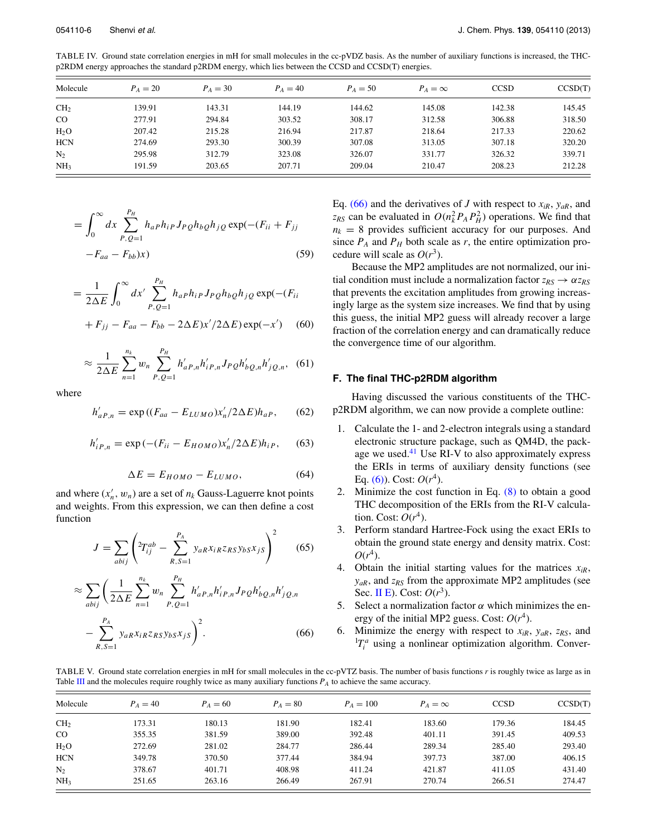Molecule  $P_A = 20$   $P_A = 30$   $P_A = 40$   $P_A = 50$   $P_A = \infty$  CCSD CCSD(T) CH<sub>2</sub> 139.91 143.31 144.19 144.62 145.08 142.38 145.45 CO 277.91 294.84 303.52 308.17 312.58 306.88 318.50  $H_2$ O 207.42 215.28 216.94 217.87 218.64 217.33 220.62 HCN 274.69 293.30 300.39 307.08 313.05 307.18 320.20  $N_2$  295.98 312.79 323.08 326.07 331.77 326.32 339.71 NH<sub>3</sub> 191.59 203.65 207.71 209.04 210.47 208.23 212.28

<span id="page-6-1"></span>TABLE IV. Ground state correlation energies in mH for small molecules in the cc-pVDZ basis. As the number of auxiliary functions is increased, the THCp2RDM energy approaches the standard p2RDM energy, which lies between the CCSD and CCSD(T) energies.

$$
= \int_0^\infty dx \sum_{P,Q=1}^{P_H} h_{aP} h_{iP} J_{PQ} h_{bQ} h_{jQ} \exp(-(F_{ii} + F_{jj}) -F_{aa} - F_{bb})x)
$$
\n(59)

$$
= \frac{1}{2\Delta E} \int_0^{\infty} dx' \sum_{P,Q=1}^{P_H} h_{aP} h_{iP} J_{PQ} h_{bQ} h_{jQ} \exp(-(F_{ii}) + F_{jj} - F_{aa} - F_{bb} - 2\Delta E) x'/2\Delta E) \exp(-x') \quad (60)
$$

$$
1 - y = 2w
$$

$$
\approx \frac{1}{2\Delta E} \sum_{n=1}^{n_k} w_n \sum_{P,Q=1}^{P_H} h'_{aP,n} h'_{iP,n} J_P \, g h'_{bQ,n} h'_{jQ,n}, \quad (61)
$$

where

$$
h'_{aP,n} = \exp((F_{aa} - E_{LUMO})x'_n/2\Delta E)h_{aP},
$$
 (62)

$$
h'_{iP,n} = \exp(-(F_{ii} - E_{HOMO})x'_{n}/2\Delta E)h_{iP}, \quad (63)
$$

$$
\Delta E = E_{HOMO} - E_{LUMO},\tag{64}
$$

and where  $(x'_n, w_n)$  are a set of  $n_k$  Gauss-Laguerre knot points and weights. From this expression, we can then define a cost function

$$
J = \sum_{abij} \left( {}^{2}T^{ab}_{ij} - \sum_{R,S=1}^{P_A} y_{aR} x_{iR} z_{RS} y_{bS} x_{jS} \right)^2 \tag{65}
$$

<span id="page-6-0"></span>
$$
\approx \sum_{abij} \left( \frac{1}{2\Delta E} \sum_{n=1}^{n_k} w_n \sum_{P,Q=1}^{P_H} h'_{aP,n} h'_{iP,n} J_{PQ} h'_{bQ,n} h'_{jQ,n} - \sum_{R,S=1}^{P_A} y_{aR} x_{iR} z_{RS} y_{bS} x_{jS} \right)^2.
$$
 (66)

Eq. [\(66\)](#page-6-0) and the derivatives of *J* with respect to  $x_{iR}$ ,  $y_{iR}$ , and *z<sub>RS</sub>* can be evaluated in  $O(n_k^2 P_A P_H^2)$  operations. We find that  $n_k = 8$  provides sufficient accuracy for our purposes. And since  $P_A$  and  $P_H$  both scale as *r*, the entire optimization procedure will scale as  $O(r^3)$ .

Because the MP2 amplitudes are not normalized, our initial condition must include a normalization factor  $z_{RS} \rightarrow \alpha z_{RS}$ that prevents the excitation amplitudes from growing increasingly large as the system size increases. We find that by using this guess, the initial MP2 guess will already recover a large fraction of the correlation energy and can dramatically reduce the convergence time of our algorithm.

#### **F. The final THC-p2RDM algorithm**

Having discussed the various constituents of the THCp2RDM algorithm, we can now provide a complete outline:

- 1. Calculate the 1- and 2-electron integrals using a standard electronic structure package, such as QM4D, the package we used. $41$  Use RI-V to also approximately express the ERIs in terms of auxiliary density functions (see Eq. [\(6\)\)](#page-2-4). Cost:  $O(r^4)$ .
- 2. Minimize the cost function in Eq. [\(8\)](#page-2-5) to obtain a good THC decomposition of the ERIs from the RI-V calculation. Cost:  $O(r^4)$ .
- 3. Perform standard Hartree-Fock using the exact ERIs to obtain the ground state energy and density matrix. Cost:  $O(r^4)$ .
- 4. Obtain the initial starting values for the matrices  $x_{iR}$ , *yaR*, and *zRS* from the approximate MP2 amplitudes (see Sec. [II E\)](#page-5-2). Cost:  $O(r^3)$ .
- 5. Select a normalization factor  $\alpha$  which minimizes the energy of the initial MP2 guess. Cost:  $O(r^4)$ .
- 6. Minimize the energy with respect to  $x_{iR}$ ,  $y_{iR}$ ,  $z_{RS}$ , and  ${}^{1}T_{i}^{a}$  using a nonlinear optimization algorithm. Conver-

<span id="page-6-2"></span>TABLE V. Ground state correlation energies in mH for small molecules in the cc-pVTZ basis. The number of basis functions  $r$  is roughly twice as large as in Table [III](#page-5-1) and the molecules require roughly twice as many auxiliary functions *PA* to achieve the same accuracy.

| Molecule        | $P_A = 40$ | $P_A=60$ | $P_A = 80$ | $P_A = 100$ | $P_A = \infty$ | <b>CCSD</b> | CCSD(T) |
|-----------------|------------|----------|------------|-------------|----------------|-------------|---------|
| CH <sub>2</sub> | 173.31     | 180.13   | 181.90     | 182.41      | 183.60         | 179.36      | 184.45  |
| $_{\rm CO}$     | 355.35     | 381.59   | 389.00     | 392.48      | 401.11         | 391.45      | 409.53  |
| $H_2O$          | 272.69     | 281.02   | 284.77     | 286.44      | 289.34         | 285.40      | 293.40  |
| <b>HCN</b>      | 349.78     | 370.50   | 377.44     | 384.94      | 397.73         | 387.00      | 406.15  |
| $N_2$           | 378.67     | 401.71   | 408.98     | 411.24      | 421.87         | 411.05      | 431.40  |
| NH <sub>3</sub> | 251.65     | 263.16   | 266.49     | 267.91      | 270.74         | 266.51      | 274.47  |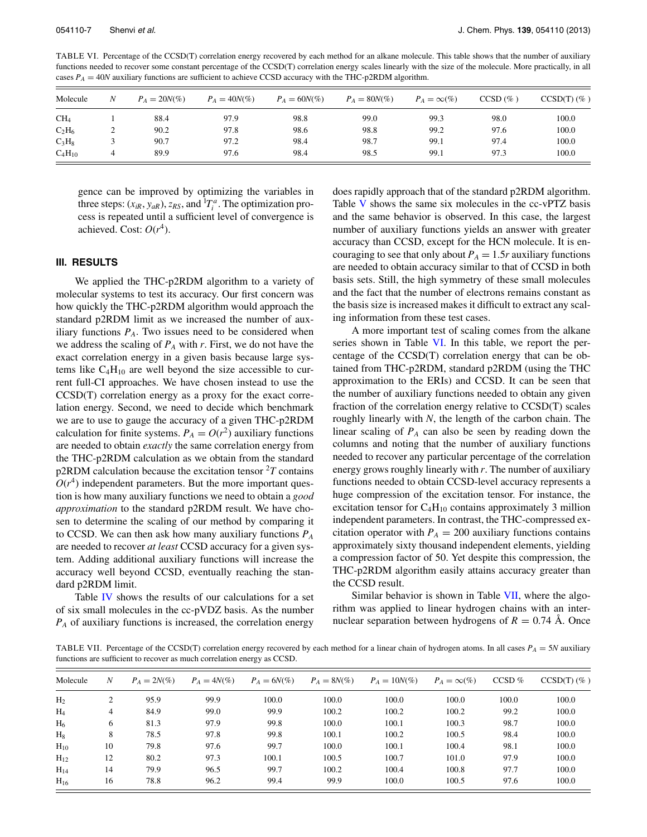| cases $P_A = 40N$ auxiliary functions are sufficient to achieve CCSD accuracy with the THC-p2RDM algorithm. |   |      |                                                 |      |                 |                    |            |                   |  |  |
|-------------------------------------------------------------------------------------------------------------|---|------|-------------------------------------------------|------|-----------------|--------------------|------------|-------------------|--|--|
| Molecule                                                                                                    | N |      | $P_A = 20N(\%)$ $P_A = 40N(\%)$ $P_A = 60N(\%)$ |      | $P_A = 80N(\%)$ | $P_A = \infty(\%)$ | $CCSD(\%)$ | $CCSD(T)$ $(\%$ ) |  |  |
| CH <sub>4</sub>                                                                                             |   | 88.4 | 97.9                                            | 98.8 | 99.0            | 99.3               | 98.0       | 100.0             |  |  |
| $C_2H_6$                                                                                                    |   | 90.2 | 97.8                                            | 98.6 | 98.8            | 99.2               | 97.6       | 100.0             |  |  |
| $C_3H_8$                                                                                                    |   | 90.7 | 97.2                                            | 98.4 | 98.7            | 99.1               | 97.4       | 100.0             |  |  |

 $C_4H_{10}$  4 89.9 97.6 98.4 98.5 99.1 97.3 100.0

<span id="page-7-1"></span>TABLE VI. Percentage of the CCSD(T) correlation energy recovered by each method for an alkane molecule. This table shows that the number of auxiliary functions needed to recover some constant percentage of the CCSD(T) correlation energy scales linearly with the size of the molecule. More practically, in all

gence can be improved by optimizing the variables in three steps:  $(x_{iR}, y_{aR})$ ,  $z_{RS}$ , and  ${}^{1}T_i^a$ . The optimization process is repeated until a sufficient level of convergence is achieved. Cost:  $O(r^4)$ .

#### <span id="page-7-0"></span>**III. RESULTS**

We applied the THC-p2RDM algorithm to a variety of molecular systems to test its accuracy. Our first concern was how quickly the THC-p2RDM algorithm would approach the standard p2RDM limit as we increased the number of auxiliary functions  $P_A$ . Two issues need to be considered when we address the scaling of  $P_A$  with  $r$ . First, we do not have the exact correlation energy in a given basis because large systems like  $C_4H_{10}$  are well beyond the size accessible to current full-CI approaches. We have chosen instead to use the CCSD(T) correlation energy as a proxy for the exact correlation energy. Second, we need to decide which benchmark we are to use to gauge the accuracy of a given THC-p2RDM calculation for finite systems.  $P_A = O(r^2)$  auxiliary functions are needed to obtain *exactly* the same correlation energy from the THC-p2RDM calculation as we obtain from the standard  $p2RDM$  calculation because the excitation tensor  ${}^{2}T$  contains  $O(r<sup>4</sup>)$  independent parameters. But the more important question is how many auxiliary functions we need to obtain a *good approximation* to the standard p2RDM result. We have chosen to determine the scaling of our method by comparing it to CCSD. We can then ask how many auxiliary functions *PA* are needed to recover *at least* CCSD accuracy for a given system. Adding additional auxiliary functions will increase the accuracy well beyond CCSD, eventually reaching the standard p2RDM limit.

Table [IV](#page-6-1) shows the results of our calculations for a set of six small molecules in the cc-pVDZ basis. As the number *PA* of auxiliary functions is increased, the correlation energy does rapidly approach that of the standard p2RDM algorithm. Table [V](#page-6-2) shows the same six molecules in the cc-vPTZ basis and the same behavior is observed. In this case, the largest number of auxiliary functions yields an answer with greater accuracy than CCSD, except for the HCN molecule. It is encouraging to see that only about  $P_A = 1.5r$  auxiliary functions are needed to obtain accuracy similar to that of CCSD in both basis sets. Still, the high symmetry of these small molecules and the fact that the number of electrons remains constant as the basis size is increased makes it difficult to extract any scaling information from these test cases.

A more important test of scaling comes from the alkane series shown in Table [VI.](#page-7-1) In this table, we report the percentage of the CCSD(T) correlation energy that can be obtained from THC-p2RDM, standard p2RDM (using the THC approximation to the ERIs) and CCSD. It can be seen that the number of auxiliary functions needed to obtain any given fraction of the correlation energy relative to CCSD(T) scales roughly linearly with *N*, the length of the carbon chain. The linear scaling of  $P_A$  can also be seen by reading down the columns and noting that the number of auxiliary functions needed to recover any particular percentage of the correlation energy grows roughly linearly with *r*. The number of auxiliary functions needed to obtain CCSD-level accuracy represents a huge compression of the excitation tensor. For instance, the excitation tensor for  $C_4H_{10}$  contains approximately 3 million independent parameters. In contrast, the THC-compressed excitation operator with  $P_A = 200$  auxiliary functions contains approximately sixty thousand independent elements, yielding a compression factor of 50. Yet despite this compression, the THC-p2RDM algorithm easily attains accuracy greater than the CCSD result.

Similar behavior is shown in Table [VII,](#page-7-2) where the algorithm was applied to linear hydrogen chains with an internuclear separation between hydrogens of  $R = 0.74$  A. Once

<span id="page-7-2"></span>TABLE VII. Percentage of the CCSD(T) correlation energy recovered by each method for a linear chain of hydrogen atoms. In all cases  $P_A = 5N$  auxiliary functions are sufficient to recover as much correlation energy as CCSD.

| Molecule       | N  | $P_A = 2N(\%)$ | $P_A = 4N(\%)$ | $P_A = 6N(\%)$ | $P_A = 8N(\%)$ | $P_A = 10N(\%)$ | $P_A = \infty(\%)$ | CCSD $%$ | $CCSD(T)$ (%) |
|----------------|----|----------------|----------------|----------------|----------------|-----------------|--------------------|----------|---------------|
| H <sub>2</sub> | 2  | 95.9           | 99.9           | 100.0          | 100.0          | 100.0           | 100.0              | 100.0    | 100.0         |
| $H_4$          | 4  | 84.9           | 99.0           | 99.9           | 100.2          | 100.2           | 100.2              | 99.2     | 100.0         |
| $H_6$          | 6  | 81.3           | 97.9           | 99.8           | 100.0          | 100.1           | 100.3              | 98.7     | 100.0         |
| $H_8$          | 8  | 78.5           | 97.8           | 99.8           | 100.1          | 100.2           | 100.5              | 98.4     | 100.0         |
| $H_{10}$       | 10 | 79.8           | 97.6           | 99.7           | 100.0          | 100.1           | 100.4              | 98.1     | 100.0         |
| $H_{12}$       | 12 | 80.2           | 97.3           | 100.1          | 100.5          | 100.7           | 101.0              | 97.9     | 100.0         |
| $H_{14}$       | 14 | 79.9           | 96.5           | 99.7           | 100.2          | 100.4           | 100.8              | 97.7     | 100.0         |
| $H_{16}$       | 16 | 78.8           | 96.2           | 99.4           | 99.9           | 100.0           | 100.5              | 97.6     | 100.0         |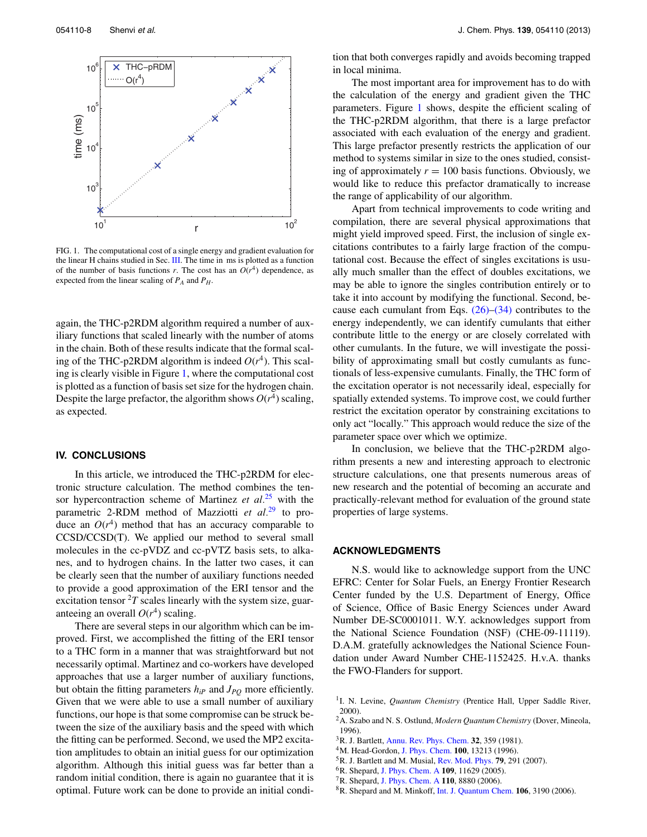<span id="page-8-8"></span>

FIG. 1. The computational cost of a single energy and gradient evaluation for the linear H chains studied in Sec. [III.](#page-7-0) The time in ms is plotted as a function of the number of basis functions *r*. The cost has an  $O(r^4)$  dependence, as expected from the linear scaling of  $P_A$  and  $P_H$ .

again, the THC-p2RDM algorithm required a number of auxiliary functions that scaled linearly with the number of atoms in the chain. Both of these results indicate that the formal scaling of the THC-p2RDM algorithm is indeed  $O(r^4)$ . This scaling is clearly visible in Figure [1,](#page-8-8) where the computational cost is plotted as a function of basis set size for the hydrogen chain. Despite the large prefactor, the algorithm shows  $O(r^4)$  scaling, as expected.

#### <span id="page-8-7"></span>**IV. CONCLUSIONS**

In this article, we introduced the THC-p2RDM for electronic structure calculation. The method combines the tensor hypercontraction scheme of Martinez *et al.*[25](#page-9-11) with the parametric 2-RDM method of Mazziotti *et al.*[29](#page-9-15) to produce an  $O(r^4)$  method that has an accuracy comparable to CCSD/CCSD(T). We applied our method to several small molecules in the cc-pVDZ and cc-pVTZ basis sets, to alkanes, and to hydrogen chains. In the latter two cases, it can be clearly seen that the number of auxiliary functions needed to provide a good approximation of the ERI tensor and the excitation tensor  ${}^{2}T$  scales linearly with the system size, guaranteeing an overall  $O(r^4)$  scaling.

There are several steps in our algorithm which can be improved. First, we accomplished the fitting of the ERI tensor to a THC form in a manner that was straightforward but not necessarily optimal. Martinez and co-workers have developed approaches that use a larger number of auxiliary functions, but obtain the fitting parameters  $h_{iP}$  and  $J_{PQ}$  more efficiently. Given that we were able to use a small number of auxiliary functions, our hope is that some compromise can be struck between the size of the auxiliary basis and the speed with which the fitting can be performed. Second, we used the MP2 excitation amplitudes to obtain an initial guess for our optimization algorithm. Although this initial guess was far better than a random initial condition, there is again no guarantee that it is optimal. Future work can be done to provide an initial condition that both converges rapidly and avoids becoming trapped in local minima.

The most important area for improvement has to do with the calculation of the energy and gradient given the THC parameters. Figure [1](#page-8-8) shows, despite the efficient scaling of the THC-p2RDM algorithm, that there is a large prefactor associated with each evaluation of the energy and gradient. This large prefactor presently restricts the application of our method to systems similar in size to the ones studied, consisting of approximately  $r = 100$  basis functions. Obviously, we would like to reduce this prefactor dramatically to increase the range of applicability of our algorithm.

Apart from technical improvements to code writing and compilation, there are several physical approximations that might yield improved speed. First, the inclusion of single excitations contributes to a fairly large fraction of the computational cost. Because the effect of singles excitations is usually much smaller than the effect of doubles excitations, we may be able to ignore the singles contribution entirely or to take it into account by modifying the functional. Second, because each cumulant from Eqs.  $(26)$ – $(34)$  contributes to the energy independently, we can identify cumulants that either contribute little to the energy or are closely correlated with other cumulants. In the future, we will investigate the possibility of approximating small but costly cumulants as functionals of less-expensive cumulants. Finally, the THC form of the excitation operator is not necessarily ideal, especially for spatially extended systems. To improve cost, we could further restrict the excitation operator by constraining excitations to only act "locally." This approach would reduce the size of the parameter space over which we optimize.

In conclusion, we believe that the THC-p2RDM algorithm presents a new and interesting approach to electronic structure calculations, one that presents numerous areas of new research and the potential of becoming an accurate and practically-relevant method for evaluation of the ground state properties of large systems.

#### **ACKNOWLEDGMENTS**

N.S. would like to acknowledge support from the UNC EFRC: Center for Solar Fuels, an Energy Frontier Research Center funded by the U.S. Department of Energy, Office of Science, Office of Basic Energy Sciences under Award Number DE-SC0001011. W.Y. acknowledges support from the National Science Foundation (NSF) (CHE-09-11119). D.A.M. gratefully acknowledges the National Science Foundation under Award Number CHE-1152425. H.v.A. thanks the FWO-Flanders for support.

- <span id="page-8-3"></span><span id="page-8-2"></span>3R. J. Bartlett, [Annu. Rev. Phys. Chem.](http://dx.doi.org/10.1146/annurev.pc.32.100181.002043) **32**, 359 (1981).
- <span id="page-8-4"></span>4M. Head-Gordon, [J. Phys. Chem.](http://dx.doi.org/10.1021/jp953665+) **100**, 13213 (1996).
- <span id="page-8-5"></span>5R. J. Bartlett and M. Musial, [Rev. Mod. Phys.](http://dx.doi.org/10.1103/RevModPhys.79.291) **79**, 291 (2007).
- 6R. Shepard, [J. Phys. Chem. A](http://dx.doi.org/10.1021/jp0543431) **109**, 11629 (2005).
- <span id="page-8-6"></span>7R. Shepard, [J. Phys. Chem. A](http://dx.doi.org/10.1021/jp060336g) **110**, 8880 (2006).
- 8R. Shepard and M. Minkoff, [Int. J. Quantum Chem.](http://dx.doi.org/10.1002/qua.21140) **106**, 3190 (2006).

<span id="page-8-0"></span><sup>&</sup>lt;sup>1</sup>I. N. Levine, *Quantum Chemistry* (Prentice Hall, Upper Saddle River, 2000).

<span id="page-8-1"></span><sup>2</sup>A. Szabo and N. S. Ostlund, *Modern Quantum Chemistry* (Dover, Mineola, 1996).